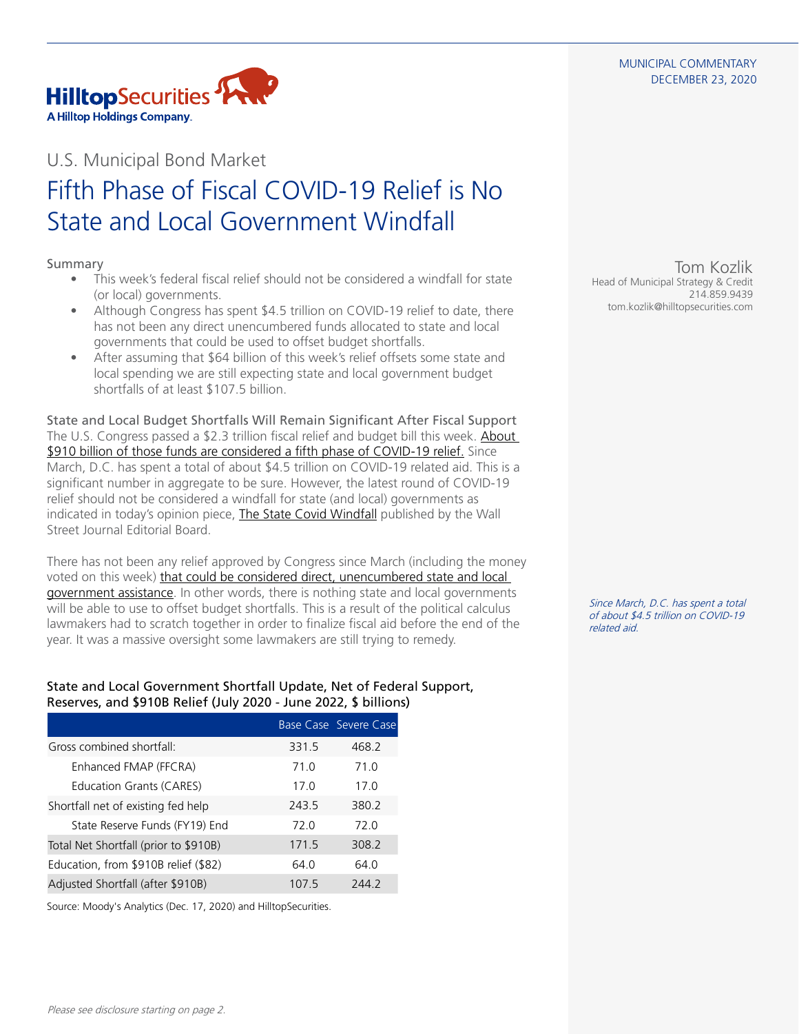#### MUNICIPAL COMMENTARY DECEMBER 23, 2020



## U.S. Municipal Bond Market

# Fifth Phase of Fiscal COVID-19 Relief is No State and Local Government Windfall

### Summary

- This week's federal fiscal relief should not be considered a windfall for state (or local) governments.
- Although Congress has spent \$4.5 trillion on COVID-19 relief to date, there has not been any direct unencumbered funds allocated to state and local governments that could be used to offset budget shortfalls.
- After assuming that \$64 billion of this week's relief offsets some state and local spending we are still expecting state and local government budget shortfalls of at least \$107.5 billion.

State and Local Budget Shortfalls Will Remain Significant After Fiscal Support The U.S. Congress passed a \$2.3 trillion fiscal relief and budget bill this week. [About](https://www.hilltopsecurities.com/media/4407/municipal-commentary_122120.pdf)  [\\$910 billion of those funds are considered a fifth phase of COVID-19 relief.](https://www.hilltopsecurities.com/media/4407/municipal-commentary_122120.pdf) Since March, D.C. has spent a total of about \$4.5 trillion on COVID-19 related aid. This is a significant number in aggregate to be sure. However, the latest round of COVID-19 relief should not be considered a windfall for state (and local) governments as indicated in today's opinion piece, [The State Covid Windfall](https://www.wsj.com/articles/the-state-covid-windfall-11608680178?mod=opinion_lead_pos1) published by the Wall Street Journal Editorial Board.

There has not been any relief approved by Congress since March (including the money voted on this week) [that could be considered direct, unencumbered state and local](https://www.hilltopsecurities.com/media/4249/municipal-commentary_102220-v6.pdf)  [government assistance.](https://www.hilltopsecurities.com/media/4249/municipal-commentary_102220-v6.pdf) In other words, there is nothing state and local governments will be able to use to offset budget shortfalls. This is a result of the political calculus lawmakers had to scratch together in order to finalize fiscal aid before the end of the year. It was a massive oversight some lawmakers are still trying to remedy.

### State and Local Government Shortfall Update, Net of Federal Support, Reserves, and \$910B Relief (July 2020 - June 2022, \$ billions)

|                                       |       | Base Case Severe Case |
|---------------------------------------|-------|-----------------------|
| Gross combined shortfall:             | 331.5 | 468.2                 |
| Enhanced FMAP (FFCRA)                 | 71.0  | 71.0                  |
| Education Grants (CARES)              | 170   | 170                   |
| Shortfall net of existing fed help    | 2435  | 380.2                 |
| State Reserve Funds (FY19) End        | 72 O  | 72 O                  |
| Total Net Shortfall (prior to \$910B) | 171.5 | 308.2                 |
| Education, from \$910B relief (\$82)  | 64 O  | 64 O                  |
| Adjusted Shortfall (after \$910B)     | 107.5 | 244.2                 |

Source: Moody's Analytics (Dec. 17, 2020) and HilltopSecurities.

Tom Kozlik Head of Municipal Strategy & Credit 214.859.9439 tom.kozlik@hilltopsecurities.com

Since March, D.C. has spent a total of about \$4.5 trillion on COVID-19 related aid.